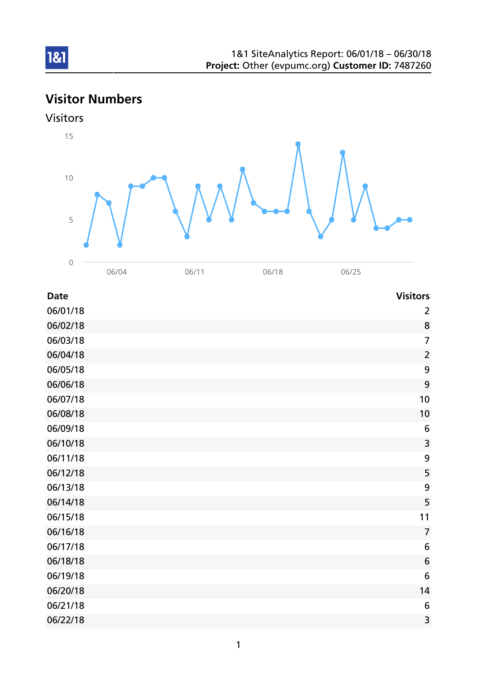# Visitor Numbers

## Visitors



| <b>Date</b> | <b>Visitors</b>  |
|-------------|------------------|
| 06/01/18    | 2                |
| 06/02/18    | 8                |
| 06/03/18    | $\overline{7}$   |
| 06/04/18    | $\overline{2}$   |
| 06/05/18    | 9                |
| 06/06/18    | 9                |
| 06/07/18    | 10               |
| 06/08/18    | 10               |
| 06/09/18    | 6                |
| 06/10/18    | 3                |
| 06/11/18    | $\boldsymbol{9}$ |
| 06/12/18    | 5                |
| 06/13/18    | 9                |
| 06/14/18    | 5                |
| 06/15/18    | 11               |
| 06/16/18    | $\overline{7}$   |
| 06/17/18    | 6                |
| 06/18/18    | 6                |
| 06/19/18    | 6                |
| 06/20/18    | 14               |
| 06/21/18    | 6                |
| 06/22/18    | 3                |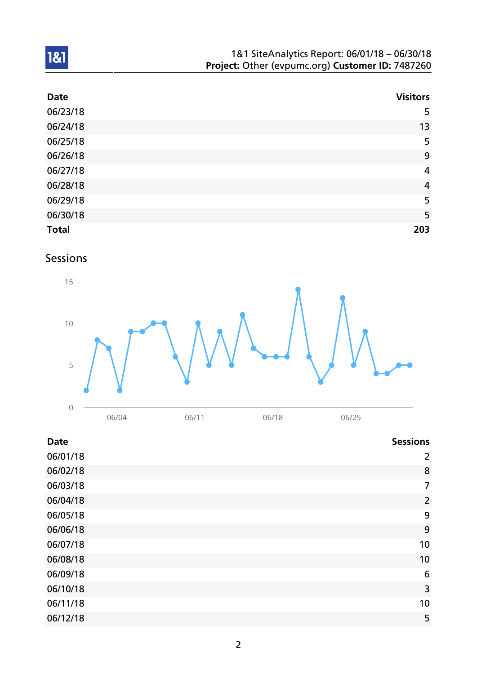| <b>Date</b>  | <b>Visitors</b> |
|--------------|-----------------|
| 06/23/18     | 5               |
| 06/24/18     | 13              |
| 06/25/18     | 5               |
| 06/26/18     | 9               |
| 06/27/18     | $\overline{4}$  |
| 06/28/18     | $\overline{4}$  |
| 06/29/18     | 5               |
| 06/30/18     | 5               |
| <b>Total</b> | 203             |

## Sessions



| <b>Date</b> | <b>Sessions</b> |
|-------------|-----------------|
| 06/01/18    | $\overline{2}$  |
| 06/02/18    | 8               |
| 06/03/18    | $\overline{7}$  |
| 06/04/18    | $\overline{2}$  |
| 06/05/18    | 9               |
| 06/06/18    | 9               |
| 06/07/18    | 10              |
| 06/08/18    | 10              |
| 06/09/18    | 6               |
| 06/10/18    | 3               |
| 06/11/18    | 10              |
| 06/12/18    | 5               |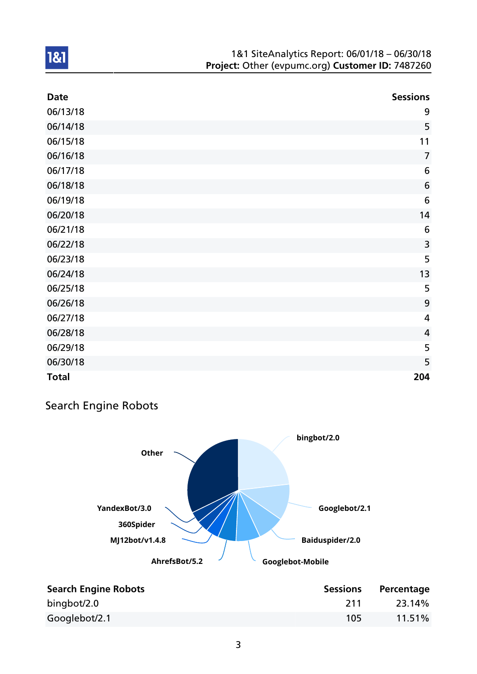| <b>Date</b>  | <b>Sessions</b>         |
|--------------|-------------------------|
| 06/13/18     | 9                       |
| 06/14/18     | 5                       |
| 06/15/18     | 11                      |
| 06/16/18     | $\overline{7}$          |
| 06/17/18     | $6\,$                   |
| 06/18/18     | $6\phantom{1}6$         |
| 06/19/18     | 6                       |
| 06/20/18     | 14                      |
| 06/21/18     | $6\,$                   |
| 06/22/18     | 3                       |
| 06/23/18     | 5                       |
| 06/24/18     | 13                      |
| 06/25/18     | 5                       |
| 06/26/18     | 9                       |
| 06/27/18     | $\overline{\mathbf{4}}$ |
| 06/28/18     | $\overline{4}$          |
| 06/29/18     | 5                       |
| 06/30/18     | 5                       |
| <b>Total</b> | 204                     |

# Search Engine Robots



| <b>Search Engine Robots</b> | <b>Sessions</b> | Percentage |
|-----------------------------|-----------------|------------|
| bingbot/2.0                 | 211             | 23.14%     |
| Googlebot/2.1               | 105             | $11.51\%$  |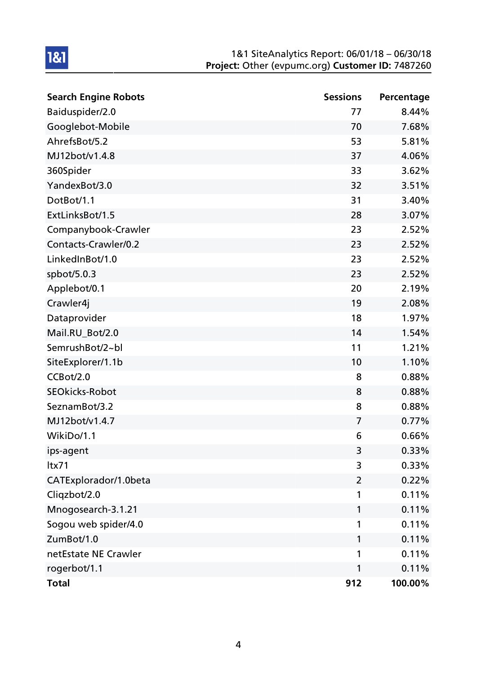| <b>Search Engine Robots</b> | <b>Sessions</b> | Percentage |
|-----------------------------|-----------------|------------|
| Baiduspider/2.0             | 77              | 8.44%      |
| Googlebot-Mobile            | 70              | 7.68%      |
| AhrefsBot/5.2               | 53              | 5.81%      |
| MJ12bot/v1.4.8              | 37              | 4.06%      |
| 360Spider                   | 33              | 3.62%      |
| YandexBot/3.0               | 32              | 3.51%      |
| DotBot/1.1                  | 31              | 3.40%      |
| ExtLinksBot/1.5             | 28              | 3.07%      |
| Companybook-Crawler         | 23              | 2.52%      |
| Contacts-Crawler/0.2        | 23              | 2.52%      |
| LinkedInBot/1.0             | 23              | 2.52%      |
| spbot/5.0.3                 | 23              | 2.52%      |
| Applebot/0.1                | 20              | 2.19%      |
| Crawler4j                   | 19              | 2.08%      |
| Dataprovider                | 18              | 1.97%      |
| Mail.RU_Bot/2.0             | 14              | 1.54%      |
| SemrushBot/2~bl             | 11              | 1.21%      |
| SiteExplorer/1.1b           | 10              | 1.10%      |
| CCBot/2.0                   | 8               | 0.88%      |
| <b>SEOkicks-Robot</b>       | 8               | 0.88%      |
| SeznamBot/3.2               | 8               | 0.88%      |
| MJ12bot/v1.4.7              | $\overline{7}$  | 0.77%      |
| WikiDo/1.1                  | 6               | 0.66%      |
| ips-agent                   | 3               | 0.33%      |
| Itx71                       | 3               | 0.33%      |
| CATExplorador/1.0beta       | $\overline{2}$  | 0.22%      |
| Cliqzbot/2.0                | 1               | 0.11%      |
| Mnogosearch-3.1.21          | 1               | 0.11%      |
| Sogou web spider/4.0        | 1               | 0.11%      |
| ZumBot/1.0                  | 1               | 0.11%      |
| netEstate NE Crawler        | 1               | 0.11%      |
| rogerbot/1.1                | 1               | 0.11%      |
| <b>Total</b>                | 912             | 100.00%    |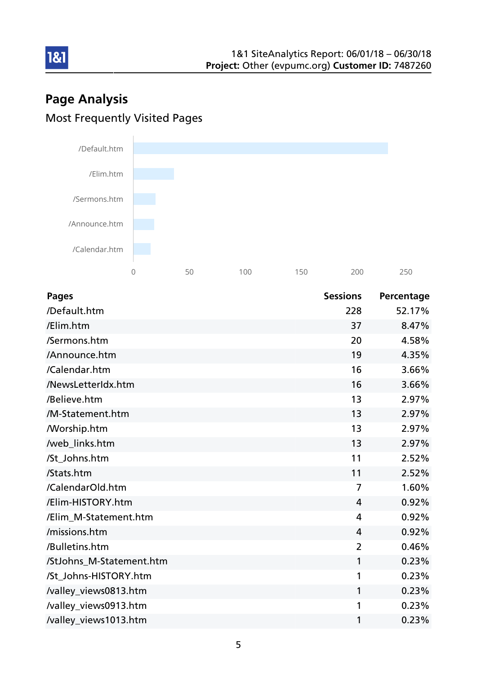# Page Analysis Most Frequently Visited Pages



| <b>Pages</b>             | <b>Sessions</b> | Percentage |
|--------------------------|-----------------|------------|
| /Default.htm             | 228             | 52.17%     |
| /Elim.htm                | 37              | 8.47%      |
| /Sermons.htm             | 20              | 4.58%      |
| /Announce.htm            | 19              | 4.35%      |
| /Calendar.htm            | 16              | 3.66%      |
| /NewsLetterIdx.htm       | 16              | 3.66%      |
| /Believe.htm             | 13              | 2.97%      |
| /M-Statement.htm         | 13              | 2.97%      |
| <b>Morship.htm</b>       | 13              | 2.97%      |
| /web_links.htm           | 13              | 2.97%      |
| /St_Johns.htm            | 11              | 2.52%      |
| /Stats.htm               | 11              | 2.52%      |
| /CalendarOld.htm         | $\overline{7}$  | 1.60%      |
| /Elim-HISTORY.htm        | 4               | 0.92%      |
| /Elim M-Statement.htm    | $\overline{4}$  | 0.92%      |
| /missions.htm            | $\overline{4}$  | 0.92%      |
| /Bulletins.htm           | $\overline{2}$  | 0.46%      |
| /StJohns_M-Statement.htm | 1               | 0.23%      |
| /St_Johns-HISTORY.htm    | 1               | 0.23%      |
| /valley_views0813.htm    | 1               | 0.23%      |
| /valley_views0913.htm    | 1               | 0.23%      |
| /valley_views1013.htm    | 1               | 0.23%      |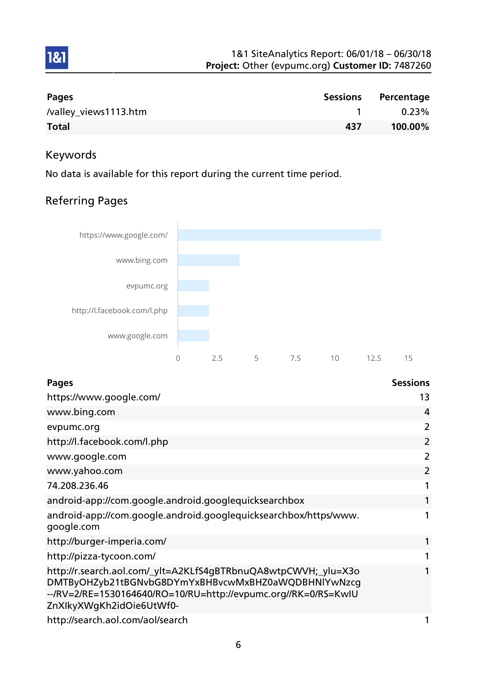

| Pages                 | <b>Sessions</b> | Percentage |
|-----------------------|-----------------|------------|
| /valley_views1113.htm |                 | $0.23\%$   |
| <b>Total</b>          | 437             | 100.00%    |

# Keywords

1&1

No data is available for this report during the current time period.

# Referring Pages



| <b>Pages</b>                                                                                                                                                                                                        | <b>Sessions</b> |
|---------------------------------------------------------------------------------------------------------------------------------------------------------------------------------------------------------------------|-----------------|
| https://www.google.com/                                                                                                                                                                                             | 13              |
| www.bing.com                                                                                                                                                                                                        | 4               |
| evpumc.org                                                                                                                                                                                                          | 2               |
| http://l.facebook.com/l.php                                                                                                                                                                                         | 2               |
| www.google.com                                                                                                                                                                                                      | 2               |
| www.yahoo.com                                                                                                                                                                                                       | 2               |
| 74.208.236.46                                                                                                                                                                                                       |                 |
| android-app://com.google.android.googlequicksearchbox                                                                                                                                                               | 1               |
| android-app://com.google.android.googlequicksearchbox/https/www.<br>google.com                                                                                                                                      |                 |
| http://burger-imperia.com/                                                                                                                                                                                          |                 |
| http://pizza-tycoon.com/                                                                                                                                                                                            |                 |
| http://r.search.aol.com/_ylt=A2KLfS4gBTRbnuQA8wtpCWVH;_ylu=X3o<br>DMTByOHZyb21tBGNvbG8DYmYxBHBvcwMxBHZ0aWQDBHNlYwNzcg<br>--/RV=2/RE=1530164640/RO=10/RU=http://evpumc.org//RK=0/RS=KwIU<br>ZnXIkyXWgKh2idOie6UtWf0- |                 |
| http://search.aol.com/aol/search                                                                                                                                                                                    |                 |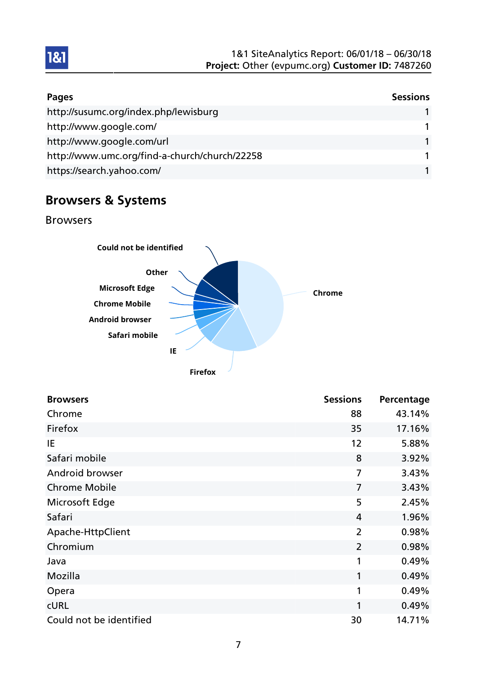| Pages                                         | <b>Sessions</b> |
|-----------------------------------------------|-----------------|
| http://susumc.org/index.php/lewisburg         |                 |
| http://www.google.com/                        |                 |
| http://www.google.com/url                     |                 |
| http://www.umc.org/find-a-church/church/22258 |                 |
| https://search.yahoo.com/                     |                 |

# Browsers & Systems

#### Browsers



| <b>Browsers</b>         | <b>Sessions</b> | Percentage |
|-------------------------|-----------------|------------|
| Chrome                  | 88              | 43.14%     |
| Firefox                 | 35              | 17.16%     |
| IE                      | 12              | 5.88%      |
| Safari mobile           | 8               | 3.92%      |
| Android browser         | $\overline{7}$  | 3.43%      |
| <b>Chrome Mobile</b>    | $\overline{7}$  | 3.43%      |
| Microsoft Edge          | 5               | 2.45%      |
| Safari                  | $\overline{4}$  | 1.96%      |
| Apache-HttpClient       | $\overline{2}$  | 0.98%      |
| Chromium                | $\overline{2}$  | 0.98%      |
| Java                    | 1               | 0.49%      |
| Mozilla                 | 1               | 0.49%      |
| Opera                   | 1               | 0.49%      |
| <b>CURL</b>             | 1               | 0.49%      |
| Could not be identified | 30              | 14.71%     |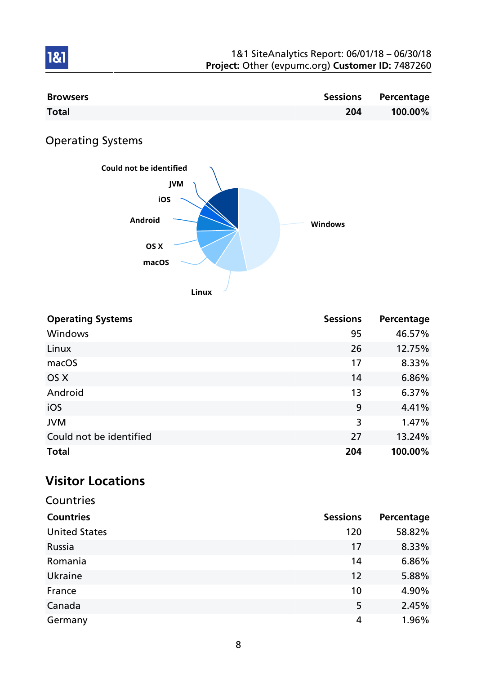| <b>Browsers</b> |     | <b>Sessions Percentage</b> |
|-----------------|-----|----------------------------|
| <b>Total</b>    | 204 | 100.00%                    |

Operating Systems

1&1



| <b>Operating Systems</b> | <b>Sessions</b> | Percentage |
|--------------------------|-----------------|------------|
| Windows                  | 95              | 46.57%     |
| Linux                    | 26              | 12.75%     |
| macOS                    | 17              | 8.33%      |
| OS X                     | 14              | 6.86%      |
| Android                  | 13              | 6.37%      |
| iOS                      | 9               | 4.41%      |
| <b>JVM</b>               | 3               | 1.47%      |
| Could not be identified  | 27              | 13.24%     |
| <b>Total</b>             | 204             | 100.00%    |

# Visitor Locations

| Countries            |                 |            |
|----------------------|-----------------|------------|
| <b>Countries</b>     | <b>Sessions</b> | Percentage |
| <b>United States</b> | 120             | 58.82%     |
| Russia               | 17              | 8.33%      |
| Romania              | 14              | 6.86%      |
| Ukraine              | 12              | 5.88%      |
| France               | 10              | 4.90%      |
| Canada               | 5               | 2.45%      |
| Germany              | 4               | 1.96%      |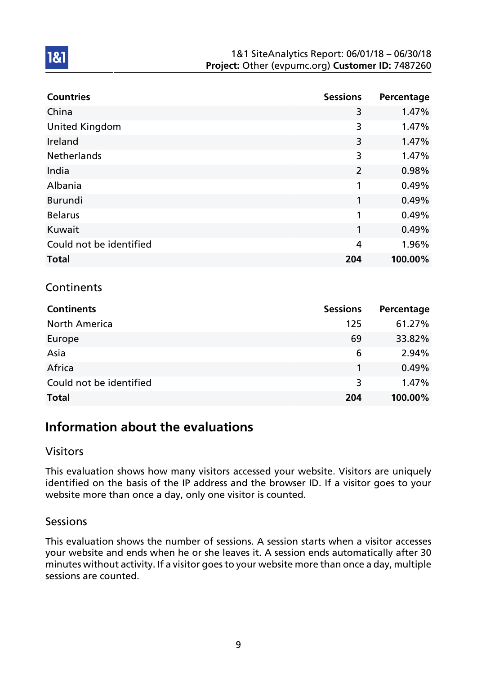| <b>Countries</b>        | <b>Sessions</b> | Percentage |
|-------------------------|-----------------|------------|
| China                   | 3               | 1.47%      |
| <b>United Kingdom</b>   | 3               | 1.47%      |
| Ireland                 | 3               | 1.47%      |
| <b>Netherlands</b>      | 3               | 1.47%      |
| India                   | $\overline{2}$  | 0.98%      |
| Albania                 | 1               | 0.49%      |
| <b>Burundi</b>          | 1               | 0.49%      |
| <b>Belarus</b>          | 1               | 0.49%      |
| Kuwait                  | 1               | 0.49%      |
| Could not be identified | 4               | 1.96%      |
| <b>Total</b>            | 204             | 100.00%    |

## **Continents**

1&1

| <b>Continents</b>       | <b>Sessions</b> | Percentage |
|-------------------------|-----------------|------------|
| <b>North America</b>    | 125             | 61.27%     |
| Europe                  | 69              | 33.82%     |
| Asia                    | 6               | 2.94%      |
| Africa                  |                 | 0.49%      |
| Could not be identified | 3               | 1.47%      |
| <b>Total</b>            | 204             | 100.00%    |

# Information about the evaluations

### Visitors

This evaluation shows how many visitors accessed your website. Visitors are uniquely identified on the basis of the IP address and the browser ID. If a visitor goes to your website more than once a day, only one visitor is counted.

#### Sessions

This evaluation shows the number of sessions. A session starts when a visitor accesses your website and ends when he or she leaves it. A session ends automatically after 30 minutes without activity. If a visitor goes to your website more than once a day, multiple sessions are counted.